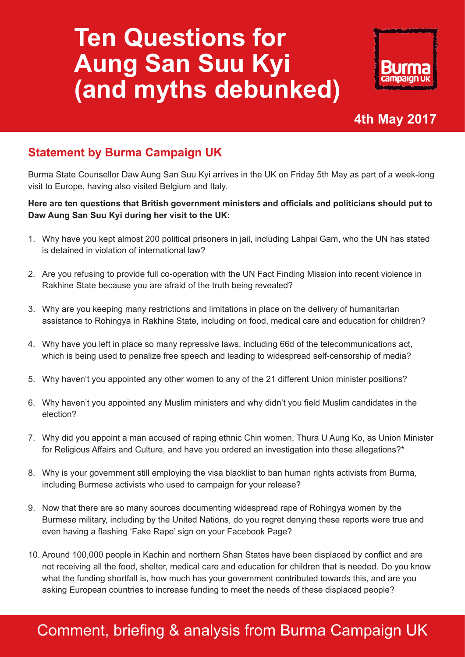# **Ten Questions for Aung San Suu Kyi (and myths debunked)**



## **4th May 2017**

### **Statement by Burma Campaign UK**

Burma State Counsellor Daw Aung San Suu Kyi arrives in the UK on Friday 5th May as part of a week-long visit to Europe, having also visited Belgium and Italy.

#### **Here are ten questions that British government ministers and officials and politicians should put to Daw Aung San Suu Kyi during her visit to the UK:**

- 1. Why have you kept almost 200 political prisoners in jail, including Lahpai Gam, who the UN has stated is detained in violation of international law?
- 2. Are you refusing to provide full co-operation with the UN Fact Finding Mission into recent violence in Rakhine State because you are afraid of the truth being revealed?
- 3. Why are you keeping many restrictions and limitations in place on the delivery of humanitarian assistance to Rohingya in Rakhine State, including on food, medical care and education for children?
- 4. Why have you left in place so many repressive laws, including 66d of the telecommunications act, which is being used to penalize free speech and leading to widespread self-censorship of media?
- 5. Why haven't you appointed any other women to any of the 21 different Union minister positions?
- 6. Why haven't you appointed any Muslim ministers and why didn't you field Muslim candidates in the election?
- 7. Why did you appoint a man accused of raping ethnic Chin women, Thura U Aung Ko, as Union Minister for Religious Affairs and Culture, and have you ordered an investigation into these allegations?\*
- 8. Why is your government still employing the visa blacklist to ban human rights activists from Burma, including Burmese activists who used to campaign for your release?
- 9. Now that there are so many sources documenting widespread rape of Rohingya women by the Burmese military, including by the United Nations, do you regret denying these reports were true and even having a flashing 'Fake Rape' sign on your Facebook Page?
- 10. Around 100,000 people in Kachin and northern Shan States have been displaced by conflict and are not receiving all the food, shelter, medical care and education for children that is needed. Do you know what the funding shortfall is, how much has your government contributed towards this, and are you asking European countries to increase funding to meet the needs of these displaced people?

# Comment, briefing & analysis from Burma Campaign UK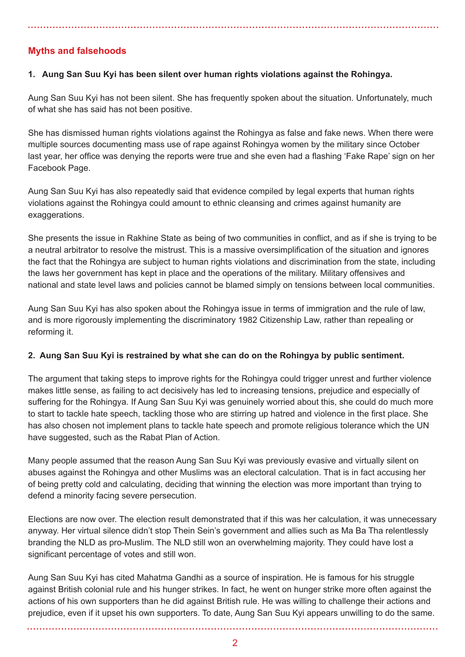#### **Myths and falsehoods**

#### **1. Aung San Suu Kyi has been silent over human rights violations against the Rohingya.**

Aung San Suu Kyi has not been silent. She has frequently spoken about the situation. Unfortunately, much of what she has said has not been positive.

She has dismissed human rights violations against the Rohingya as false and fake news. When there were multiple sources documenting mass use of rape against Rohingya women by the military since October last year, her office was denying the reports were true and she even had a flashing 'Fake Rape' sign on her Facebook Page.

Aung San Suu Kyi has also repeatedly said that evidence compiled by legal experts that human rights violations against the Rohingya could amount to ethnic cleansing and crimes against humanity are exaggerations.

She presents the issue in Rakhine State as being of two communities in conflict, and as if she is trying to be a neutral arbitrator to resolve the mistrust. This is a massive oversimplification of the situation and ignores the fact that the Rohingya are subject to human rights violations and discrimination from the state, including the laws her government has kept in place and the operations of the military. Military offensives and national and state level laws and policies cannot be blamed simply on tensions between local communities.

Aung San Suu Kyi has also spoken about the Rohingya issue in terms of immigration and the rule of law, and is more rigorously implementing the discriminatory 1982 Citizenship Law, rather than repealing or reforming it.

#### **2. Aung San Suu Kyi is restrained by what she can do on the Rohingya by public sentiment.**

The argument that taking steps to improve rights for the Rohingya could trigger unrest and further violence makes little sense, as failing to act decisively has led to increasing tensions, prejudice and especially of suffering for the Rohingya. If Aung San Suu Kyi was genuinely worried about this, she could do much more to start to tackle hate speech, tackling those who are stirring up hatred and violence in the first place. She has also chosen not implement plans to tackle hate speech and promote religious tolerance which the UN have suggested, such as the Rabat Plan of Action.

Many people assumed that the reason Aung San Suu Kyi was previously evasive and virtually silent on abuses against the Rohingya and other Muslims was an electoral calculation. That is in fact accusing her of being pretty cold and calculating, deciding that winning the election was more important than trying to defend a minority facing severe persecution.

Elections are now over. The election result demonstrated that if this was her calculation, it was unnecessary anyway. Her virtual silence didn't stop Thein Sein's government and allies such as Ma Ba Tha relentlessly branding the NLD as pro-Muslim. The NLD still won an overwhelming majority. They could have lost a significant percentage of votes and still won.

Aung San Suu Kyi has cited Mahatma Gandhi as a source of inspiration. He is famous for his struggle against British colonial rule and his hunger strikes. In fact, he went on hunger strike more often against the actions of his own supporters than he did against British rule. He was willing to challenge their actions and prejudice, even if it upset his own supporters. To date, Aung San Suu Kyi appears unwilling to do the same.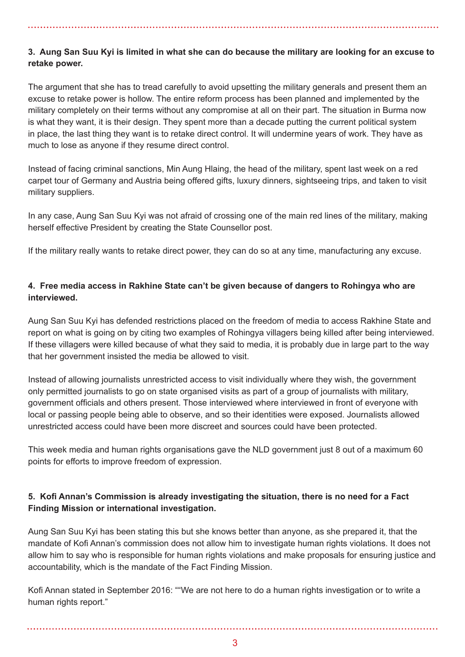#### **3. Aung San Suu Kyi is limited in what she can do because the military are looking for an excuse to retake power.**

The argument that she has to tread carefully to avoid upsetting the military generals and present them an excuse to retake power is hollow. The entire reform process has been planned and implemented by the military completely on their terms without any compromise at all on their part. The situation in Burma now is what they want, it is their design. They spent more than a decade putting the current political system in place, the last thing they want is to retake direct control. It will undermine years of work. They have as much to lose as anyone if they resume direct control.

Instead of facing criminal sanctions, Min Aung Hlaing, the head of the military, spent last week on a red carpet tour of Germany and Austria being offered gifts, luxury dinners, sightseeing trips, and taken to visit military suppliers.

In any case, Aung San Suu Kyi was not afraid of crossing one of the main red lines of the military, making herself effective President by creating the State Counsellor post.

If the military really wants to retake direct power, they can do so at any time, manufacturing any excuse.

#### **4. Free media access in Rakhine State can't be given because of dangers to Rohingya who are interviewed.**

Aung San Suu Kyi has defended restrictions placed on the freedom of media to access Rakhine State and report on what is going on by citing two examples of Rohingya villagers being killed after being interviewed. If these villagers were killed because of what they said to media, it is probably due in large part to the way that her government insisted the media be allowed to visit.

Instead of allowing journalists unrestricted access to visit individually where they wish, the government only permitted journalists to go on state organised visits as part of a group of journalists with military, government officials and others present. Those interviewed where interviewed in front of everyone with local or passing people being able to observe, and so their identities were exposed. Journalists allowed unrestricted access could have been more discreet and sources could have been protected.

This week media and human rights organisations gave the NLD government just 8 out of a maximum 60 points for efforts to improve freedom of expression.

#### **5. Kofi Annan's Commission is already investigating the situation, there is no need for a Fact Finding Mission or international investigation.**

Aung San Suu Kyi has been stating this but she knows better than anyone, as she prepared it, that the mandate of Kofi Annan's commission does not allow him to investigate human rights violations. It does not allow him to say who is responsible for human rights violations and make proposals for ensuring justice and accountability, which is the mandate of the Fact Finding Mission.

Kofi Annan stated in September 2016: ""We are not here to do a human rights investigation or to write a human rights report."